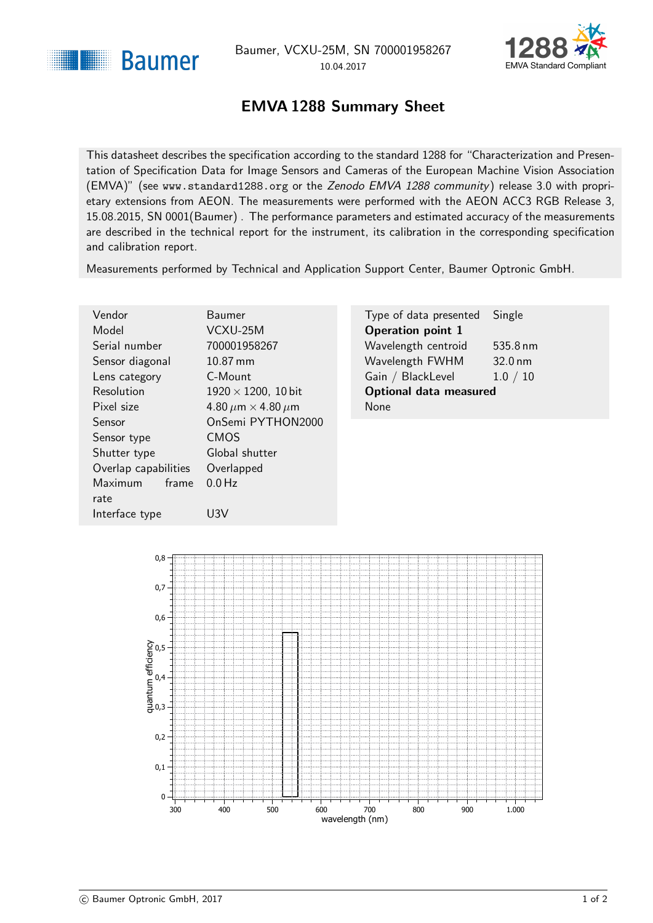<span id="page-0-1"></span>



## EMVA 1288 Summary Sheet

<span id="page-0-0"></span>This datasheet describes the specification according to the standard 1288 for "Characterization and Presentation of Specification Data for Image Sensors and Cameras of the European Machine Vision Association (EMVA)" (see <www.standard1288.org> or the [Zenodo EMVA 1288 community](http://www.zenodo.org/collection/user-emva1288) ) release 3.0 with proprietary extensions from AEON. The measurements were performed with the AEON ACC3 RGB Release 3, 15.08.2015, SN 0001(Baumer) . The performance parameters and estimated accuracy of the measurements are described in the technical report for the instrument, its calibration in the corresponding specification and calibration report.

Measurements performed by Technical and Application Support Center, Baumer Optronic GmbH.

| Vendor               | <b>Baumer</b>                      | Type of data presented        | Single            |
|----------------------|------------------------------------|-------------------------------|-------------------|
| Model                | VCXU-25M                           | <b>Operation point 1</b>      |                   |
| Serial number        | 700001958267                       | Wavelength centroid           | 535.8 nm          |
| Sensor diagonal      | 10.87 mm                           | Wavelength FWHM               | $32.0 \text{ nm}$ |
| Lens category        | C-Mount                            | Gain / BlackLevel             | 1.0 / 10          |
| Resolution           | $1920 \times 1200$ , 10 bit        | <b>Optional data measured</b> |                   |
| Pixel size           | 4.80 $\mu$ m $\times$ 4.80 $\mu$ m | <b>None</b>                   |                   |
| <b>Sensor</b>        | OnSemi PYTHON2000                  |                               |                   |
| Sensor type          | <b>CMOS</b>                        |                               |                   |
| Shutter type         | Global shutter                     |                               |                   |
| Overlap capabilities | Overlapped                         |                               |                   |
| Maximum<br>frame     | $0.0$ Hz                           |                               |                   |
| rate                 |                                    |                               |                   |



Interface type U3V